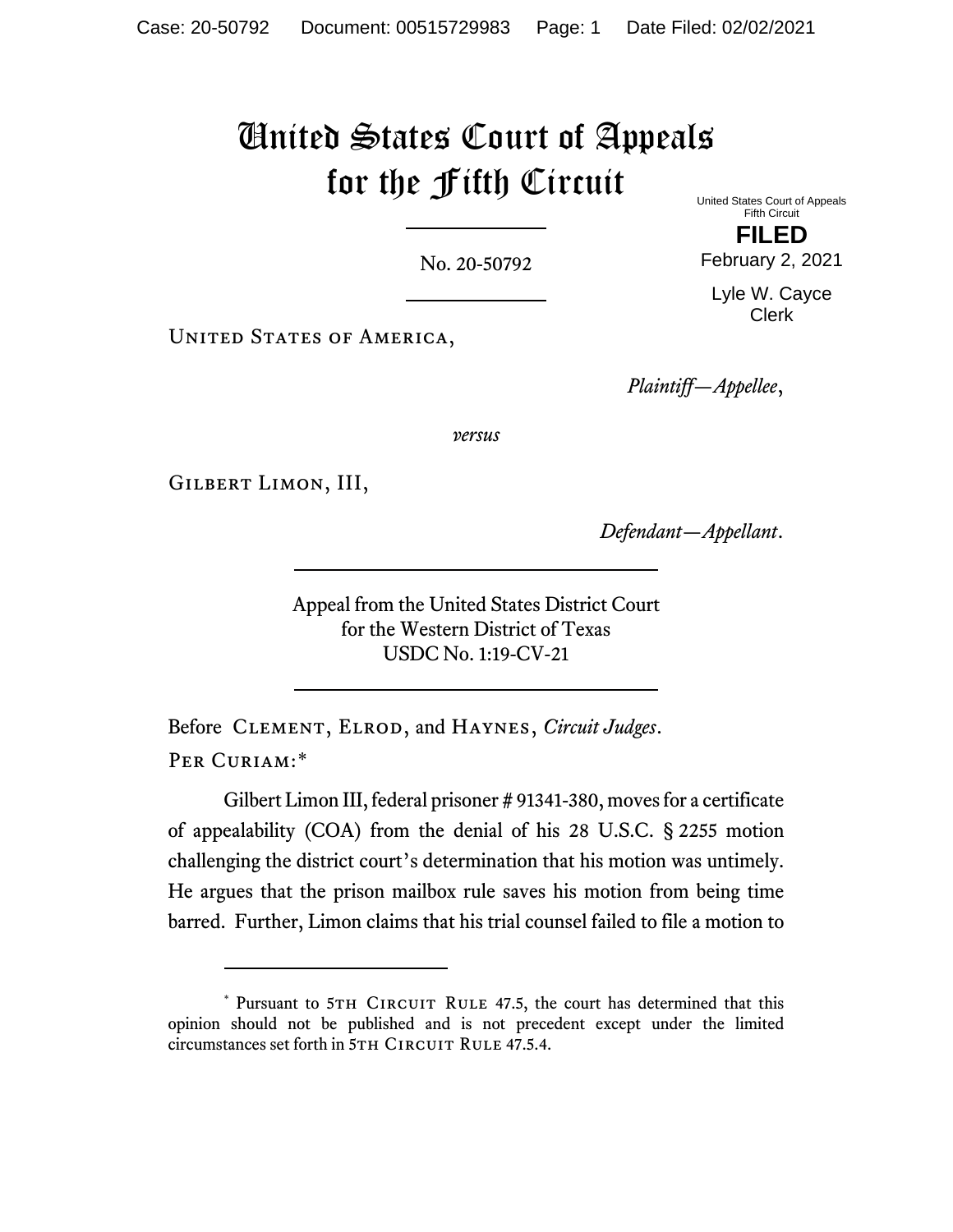## United States Court of Appeals for the Fifth Circuit United States Court of Appeals

No. 20-50792

UNITED STATES OF AMERICA,

*Plaintiff—Appellee*,

*versus*

Gilbert Limon, III,

*Defendant—Appellant*.

Appeal from the United States District Court for the Western District of Texas USDC No. 1:19-CV-21

Before Clement, Elrod, and Haynes, *Circuit Judges*. PER CURIAM:[\\*](#page-0-0)

Gilbert Limon III, federal prisoner # 91341-380, moves for a certificate of appealability (COA) from the denial of his 28 U.S.C. § 2255 motion challenging the district court's determination that his motion was untimely. He argues that the prison mailbox rule saves his motion from being time barred. Further, Limon claims that his trial counsel failed to file a motion to

Fifth Circuit **FILED**

February 2, 2021

Lyle W. Cayce Clerk

<span id="page-0-0"></span><sup>\*</sup> Pursuant to 5TH CIRCUIT RULE 47.5, the court has determined that this opinion should not be published and is not precedent except under the limited circumstances set forth in 5TH CIRCUIT RULE 47.5.4.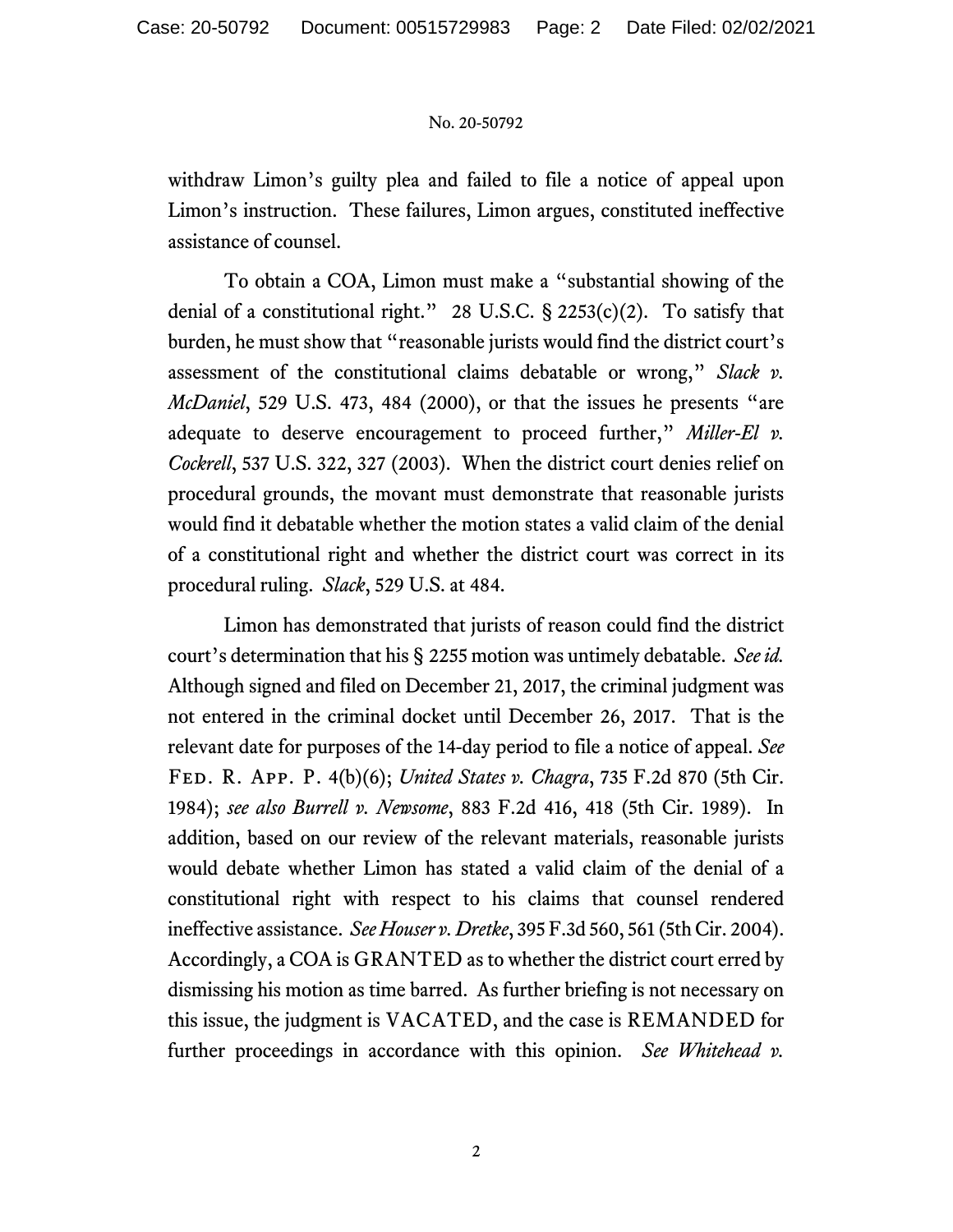## No. 20-50792

withdraw Limon's guilty plea and failed to file a notice of appeal upon Limon's instruction. These failures, Limon argues, constituted ineffective assistance of counsel.

To obtain a COA, Limon must make a "substantial showing of the denial of a constitutional right." 28 U.S.C.  $\S$  2253(c)(2). To satisfy that burden, he must show that "reasonable jurists would find the district court's assessment of the constitutional claims debatable or wrong," *Slack v. McDaniel*, 529 U.S. 473, 484 (2000), or that the issues he presents "are adequate to deserve encouragement to proceed further," *Miller-El v. Cockrell*, 537 U.S. 322, 327 (2003). When the district court denies relief on procedural grounds, the movant must demonstrate that reasonable jurists would find it debatable whether the motion states a valid claim of the denial of a constitutional right and whether the district court was correct in its procedural ruling. *Slack*, 529 U.S. at 484.

Limon has demonstrated that jurists of reason could find the district court's determination that his § 2255 motion was untimely debatable. *See id.* Although signed and filed on December 21, 2017, the criminal judgment was not entered in the criminal docket until December 26, 2017. That is the relevant date for purposes of the 14-day period to file a notice of appeal. *See* Fed. R. App. P. 4(b)(6); *United States v. Chagra*, 735 F.2d 870 (5th Cir. 1984); *see also Burrell v. Newsome*, 883 F.2d 416, 418 (5th Cir. 1989). In addition, based on our review of the relevant materials, reasonable jurists would debate whether Limon has stated a valid claim of the denial of a constitutional right with respect to his claims that counsel rendered ineffective assistance. *See Houser v. Dretke*, 395 F.3d 560, 561 (5th Cir. 2004). Accordingly, a COA is GRANTED as to whether the district court erred by dismissing his motion as time barred. As further briefing is not necessary on this issue, the judgment is VACATED, and the case is REMANDED for further proceedings in accordance with this opinion. *See Whitehead v.*